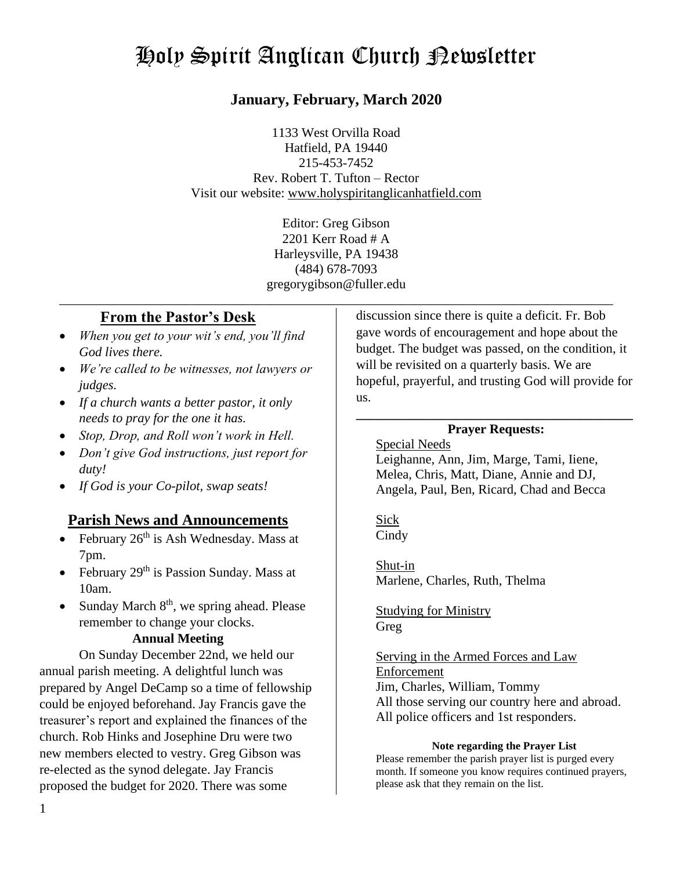# Holy Spirit Anglican Church Newsletter

## **January, February, March 2020**

1133 West Orvilla Road Hatfield, PA 19440 215-453-7452 Rev. Robert T. Tufton – Rector Visit our website: [www.holyspiritanglicanhatfield.com](http://www.holyspiritanglicanhatfield.com/)

> Editor: Greg Gibson 2201 Kerr Road # A Harleysville, PA 19438 (484) 678-7093 gregorygibson@fuller.edu

\_\_\_\_\_\_\_\_\_\_\_\_\_\_\_\_\_\_\_\_\_\_\_\_\_\_\_\_\_\_\_\_\_\_\_\_\_\_\_\_\_\_\_\_\_\_\_\_\_\_\_\_\_\_\_\_\_\_\_\_\_\_\_\_\_\_\_\_\_\_\_\_\_\_\_\_\_\_\_\_\_\_\_\_

## **From the Pastor's Desk**

- *When you get to your wit's end, you'll find God lives there.*
- *We're called to be witnesses, not lawyers or judges.*
- *If a church wants a better pastor, it only needs to pray for the one it has.*
- *Stop, Drop, and Roll won't work in Hell.*
- *Don't give God instructions, just report for duty!*
- *If God is your Co-pilot, swap seats!*

## **Parish News and Announcements**

- February  $26<sup>th</sup>$  is Ash Wednesday. Mass at 7pm.
- February  $29<sup>th</sup>$  is Passion Sunday. Mass at 10am.
- Sunday March 8<sup>th</sup>, we spring ahead. Please remember to change your clocks.

#### **Annual Meeting**

On Sunday December 22nd, we held our annual parish meeting. A delightful lunch was prepared by Angel DeCamp so a time of fellowship could be enjoyed beforehand. Jay Francis gave the treasurer's report and explained the finances of the church. Rob Hinks and Josephine Dru were two new members elected to vestry. Greg Gibson was re-elected as the synod delegate. Jay Francis proposed the budget for 2020. There was some

discussion since there is quite a deficit. Fr. Bob gave words of encouragement and hope about the budget. The budget was passed, on the condition, it will be revisited on a quarterly basis. We are hopeful, prayerful, and trusting God will provide for us.

#### **\_\_\_\_\_\_\_\_\_\_\_\_\_\_\_\_\_\_\_\_\_\_\_\_\_\_\_\_\_\_\_\_\_\_\_\_\_\_\_\_\_\_ Prayer Requests:**

## Special Needs

Leighanne, Ann, Jim, Marge, Tami, Iiene, Melea, Chris, Matt, Diane, Annie and DJ, Angela, Paul, Ben, Ricard, Chad and Becca

Sick **Cindy** 

Shut-in Marlene, Charles, Ruth, Thelma

Studying for Ministry Greg

### Serving in the Armed Forces and Law Enforcement Jim, Charles, William, Tommy All those serving our country here and abroad. All police officers and 1st responders.

#### **Note regarding the Prayer List**

Please remember the parish prayer list is purged every month. If someone you know requires continued prayers, please ask that they remain on the list.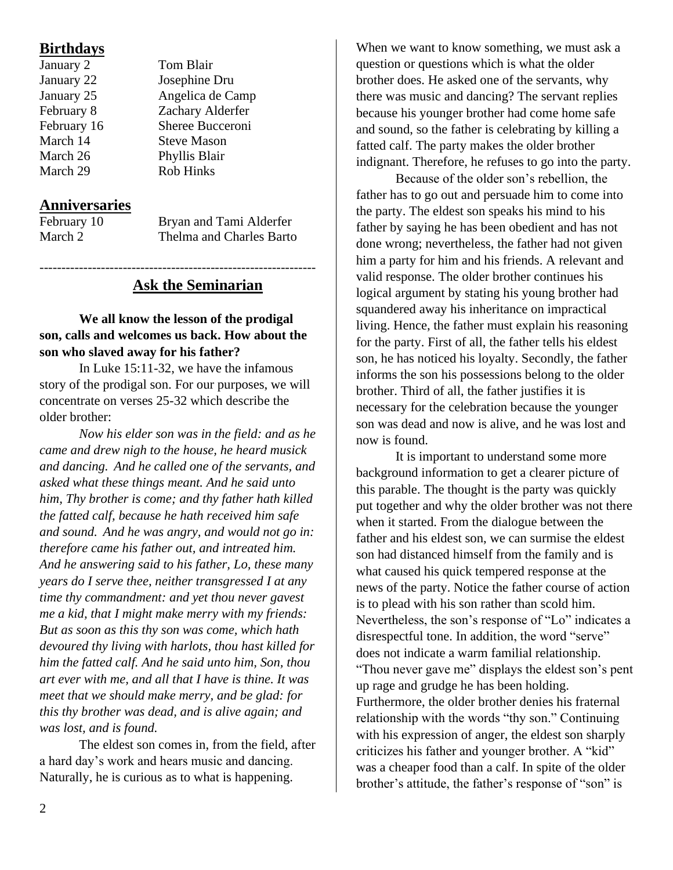## **Birthdays**

| January 2   |
|-------------|
| January 22  |
| January 25  |
| February 8  |
| February 16 |
| March 14    |
| March 26    |
| March 29    |
|             |

## **Anniversaries**

February 10 Bryan and Tami Alderfer March 2 Thelma and Charles Barto

## **Ask the Seminarian**

Tom Blair Josephine Dru Angelica de Camp Zachary Alderfer Sheree Bucceroni **Steve Mason** Phyllis Blair Rob Hinks

### **We all know the lesson of the prodigal son, calls and welcomes us back. How about the son who slaved away for his father?**

---------------------------------------------------------------

In Luke 15:11-32, we have the infamous story of the prodigal son. For our purposes, we will concentrate on verses 25-32 which describe the older brother:

*Now his elder son was in the field: and as he came and drew nigh to the house, he heard musick and dancing. And he called one of the servants, and asked what these things meant. And he said unto him, Thy brother is come; and thy father hath killed the fatted calf, because he hath received him safe and sound. And he was angry, and would not go in: therefore came his father out, and intreated him. And he answering said to his father, Lo, these many years do I serve thee, neither transgressed I at any time thy commandment: and yet thou never gavest me a kid, that I might make merry with my friends: But as soon as this thy son was come, which hath devoured thy living with harlots, thou hast killed for him the fatted calf. And he said unto him, Son, thou art ever with me, and all that I have is thine. It was meet that we should make merry, and be glad: for this thy brother was dead, and is alive again; and was lost, and is found.*

The eldest son comes in, from the field, after a hard day's work and hears music and dancing. Naturally, he is curious as to what is happening.

When we want to know something, we must ask a question or questions which is what the older brother does. He asked one of the servants, why there was music and dancing? The servant replies because his younger brother had come home safe and sound, so the father is celebrating by killing a fatted calf. The party makes the older brother indignant. Therefore, he refuses to go into the party.

Because of the older son's rebellion, the father has to go out and persuade him to come into the party. The eldest son speaks his mind to his father by saying he has been obedient and has not done wrong; nevertheless, the father had not given him a party for him and his friends. A relevant and valid response. The older brother continues his logical argument by stating his young brother had squandered away his inheritance on impractical living. Hence, the father must explain his reasoning for the party. First of all, the father tells his eldest son, he has noticed his loyalty. Secondly, the father informs the son his possessions belong to the older brother. Third of all, the father justifies it is necessary for the celebration because the younger son was dead and now is alive, and he was lost and now is found.

It is important to understand some more background information to get a clearer picture of this parable. The thought is the party was quickly put together and why the older brother was not there when it started. From the dialogue between the father and his eldest son, we can surmise the eldest son had distanced himself from the family and is what caused his quick tempered response at the news of the party. Notice the father course of action is to plead with his son rather than scold him. Nevertheless, the son's response of "Lo" indicates a disrespectful tone. In addition, the word "serve" does not indicate a warm familial relationship. "Thou never gave me" displays the eldest son's pent up rage and grudge he has been holding. Furthermore, the older brother denies his fraternal relationship with the words "thy son." Continuing with his expression of anger, the eldest son sharply criticizes his father and younger brother. A "kid" was a cheaper food than a calf. In spite of the older brother's attitude, the father's response of "son" is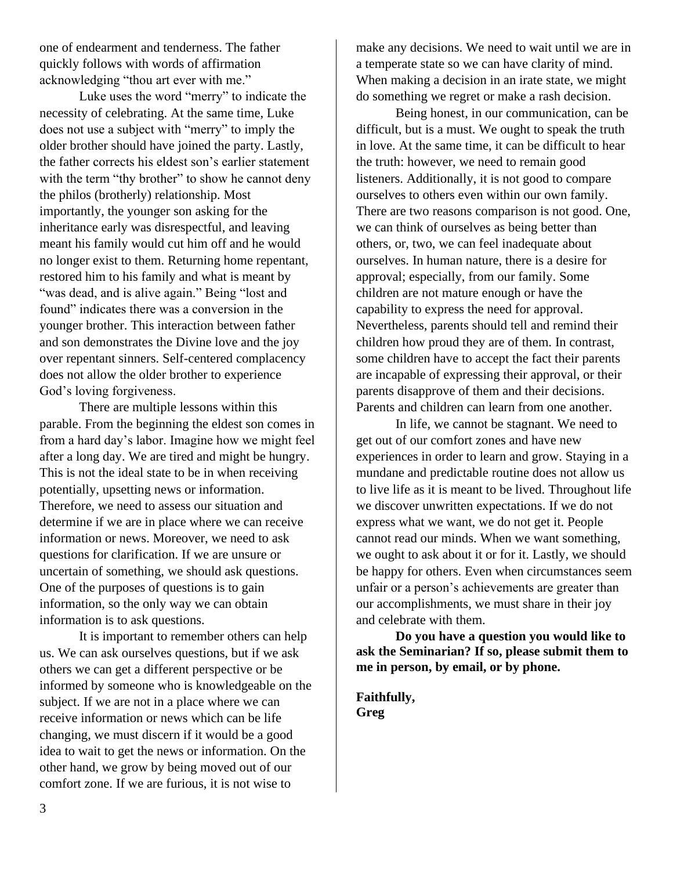one of endearment and tenderness. The father quickly follows with words of affirmation acknowledging "thou art ever with me."

Luke uses the word "merry" to indicate the necessity of celebrating. At the same time, Luke does not use a subject with "merry" to imply the older brother should have joined the party. Lastly, the father corrects his eldest son's earlier statement with the term "thy brother" to show he cannot deny the philos (brotherly) relationship. Most importantly, the younger son asking for the inheritance early was disrespectful, and leaving meant his family would cut him off and he would no longer exist to them. Returning home repentant, restored him to his family and what is meant by "was dead, and is alive again." Being "lost and found" indicates there was a conversion in the younger brother. This interaction between father and son demonstrates the Divine love and the joy over repentant sinners. Self-centered complacency does not allow the older brother to experience God's loving forgiveness.

There are multiple lessons within this parable. From the beginning the eldest son comes in from a hard day's labor. Imagine how we might feel after a long day. We are tired and might be hungry. This is not the ideal state to be in when receiving potentially, upsetting news or information. Therefore, we need to assess our situation and determine if we are in place where we can receive information or news. Moreover, we need to ask questions for clarification. If we are unsure or uncertain of something, we should ask questions. One of the purposes of questions is to gain information, so the only way we can obtain information is to ask questions.

It is important to remember others can help us. We can ask ourselves questions, but if we ask others we can get a different perspective or be informed by someone who is knowledgeable on the subject. If we are not in a place where we can receive information or news which can be life changing, we must discern if it would be a good idea to wait to get the news or information. On the other hand, we grow by being moved out of our comfort zone. If we are furious, it is not wise to

make any decisions. We need to wait until we are in a temperate state so we can have clarity of mind. When making a decision in an irate state, we might do something we regret or make a rash decision.

Being honest, in our communication, can be difficult, but is a must. We ought to speak the truth in love. At the same time, it can be difficult to hear the truth: however, we need to remain good listeners. Additionally, it is not good to compare ourselves to others even within our own family. There are two reasons comparison is not good. One, we can think of ourselves as being better than others, or, two, we can feel inadequate about ourselves. In human nature, there is a desire for approval; especially, from our family. Some children are not mature enough or have the capability to express the need for approval. Nevertheless, parents should tell and remind their children how proud they are of them. In contrast, some children have to accept the fact their parents are incapable of expressing their approval, or their parents disapprove of them and their decisions. Parents and children can learn from one another.

In life, we cannot be stagnant. We need to get out of our comfort zones and have new experiences in order to learn and grow. Staying in a mundane and predictable routine does not allow us to live life as it is meant to be lived. Throughout life we discover unwritten expectations. If we do not express what we want, we do not get it. People cannot read our minds. When we want something, we ought to ask about it or for it. Lastly, we should be happy for others. Even when circumstances seem unfair or a person's achievements are greater than our accomplishments, we must share in their joy and celebrate with them.

**Do you have a question you would like to ask the Seminarian? If so, please submit them to me in person, by email, or by phone.** 

**Faithfully, Greg**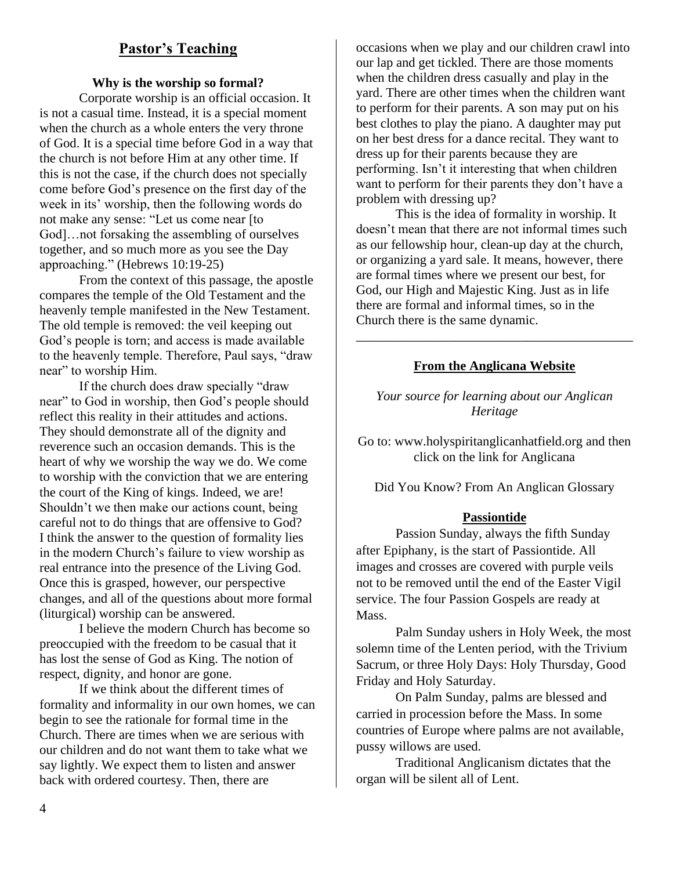## **Pastor's Teaching**

#### **Why is the worship so formal?**

Corporate worship is an official occasion. It is not a casual time. Instead, it is a special moment when the church as a whole enters the very throne of God. It is a special time before God in a way that the church is not before Him at any other time. If this is not the case, if the church does not specially come before God's presence on the first day of the week in its' worship, then the following words do not make any sense: "Let us come near [to God]…not forsaking the assembling of ourselves together, and so much more as you see the Day approaching." (Hebrews 10:19-25)

From the context of this passage, the apostle compares the temple of the Old Testament and the heavenly temple manifested in the New Testament. The old temple is removed: the veil keeping out God's people is torn; and access is made available to the heavenly temple. Therefore, Paul says, "draw near" to worship Him.

If the church does draw specially "draw near" to God in worship, then God's people should reflect this reality in their attitudes and actions. They should demonstrate all of the dignity and reverence such an occasion demands. This is the heart of why we worship the way we do. We come to worship with the conviction that we are entering the court of the King of kings. Indeed, we are! Shouldn't we then make our actions count, being careful not to do things that are offensive to God? I think the answer to the question of formality lies in the modern Church's failure to view worship as real entrance into the presence of the Living God. Once this is grasped, however, our perspective changes, and all of the questions about more formal (liturgical) worship can be answered.

I believe the modern Church has become so preoccupied with the freedom to be casual that it has lost the sense of God as King. The notion of respect, dignity, and honor are gone.

If we think about the different times of formality and informality in our own homes, we can begin to see the rationale for formal time in the Church. There are times when we are serious with our children and do not want them to take what we say lightly. We expect them to listen and answer back with ordered courtesy. Then, there are

occasions when we play and our children crawl into our lap and get tickled. There are those moments when the children dress casually and play in the yard. There are other times when the children want to perform for their parents. A son may put on his best clothes to play the piano. A daughter may put on her best dress for a dance recital. They want to dress up for their parents because they are performing. Isn't it interesting that when children want to perform for their parents they don't have a problem with dressing up?

This is the idea of formality in worship. It doesn't mean that there are not informal times such as our fellowship hour, clean-up day at the church, or organizing a yard sale. It means, however, there are formal times where we present our best, for God, our High and Majestic King. Just as in life there are formal and informal times, so in the Church there is the same dynamic.

### **From the Anglicana Website**

\_\_\_\_\_\_\_\_\_\_\_\_\_\_\_\_\_\_\_\_\_\_\_\_\_\_\_\_\_\_\_\_\_\_\_\_\_\_\_\_\_\_

*Your source for learning about our Anglican Heritage*

Go to: www.holyspiritanglicanhatfield.org and then click on the link for Anglicana

Did You Know? From An Anglican Glossary

#### **Passiontide**

Passion Sunday, always the fifth Sunday after Epiphany, is the start of Passiontide. All images and crosses are covered with purple veils not to be removed until the end of the Easter Vigil service. The four Passion Gospels are ready at Mass.

Palm Sunday ushers in Holy Week, the most solemn time of the Lenten period, with the Trivium Sacrum, or three Holy Days: Holy Thursday, Good Friday and Holy Saturday.

On Palm Sunday, palms are blessed and carried in procession before the Mass. In some countries of Europe where palms are not available, pussy willows are used.

Traditional Anglicanism dictates that the organ will be silent all of Lent.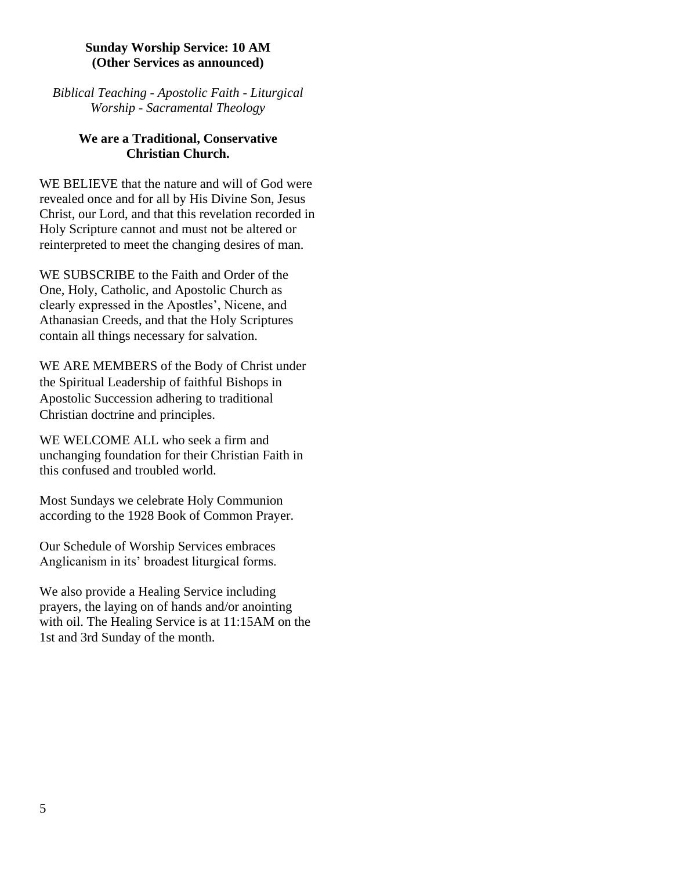#### **Sunday Worship Service: 10 AM (Other Services as announced)**

*Biblical Teaching - Apostolic Faith - Liturgical Worship - Sacramental Theology*

## **We are a Traditional, Conservative Christian Church.**

WE BELIEVE that the nature and will of God were revealed once and for all by His Divine Son, Jesus Christ, our Lord, and that this revelation recorded in Holy Scripture cannot and must not be altered or reinterpreted to meet the changing desires of man.

WE SUBSCRIBE to the Faith and Order of the One, Holy, Catholic, and Apostolic Church as clearly expressed in the Apostles', Nicene, and Athanasian Creeds, and that the Holy Scriptures contain all things necessary for salvation.

WE ARE MEMBERS of the Body of Christ under the Spiritual Leadership of faithful Bishops in Apostolic Succession adhering to traditional Christian doctrine and principles.

WE WELCOME ALL who seek a firm and unchanging foundation for their Christian Faith in this confused and troubled world.

Most Sundays we celebrate Holy Communion according to the 1928 Book of Common Prayer.

Our Schedule of Worship Services embraces Anglicanism in its' broadest liturgical forms.

We also provide a Healing Service including prayers, the laying on of hands and/or anointing with oil. The Healing Service is at 11:15AM on the 1st and 3rd Sunday of the month.